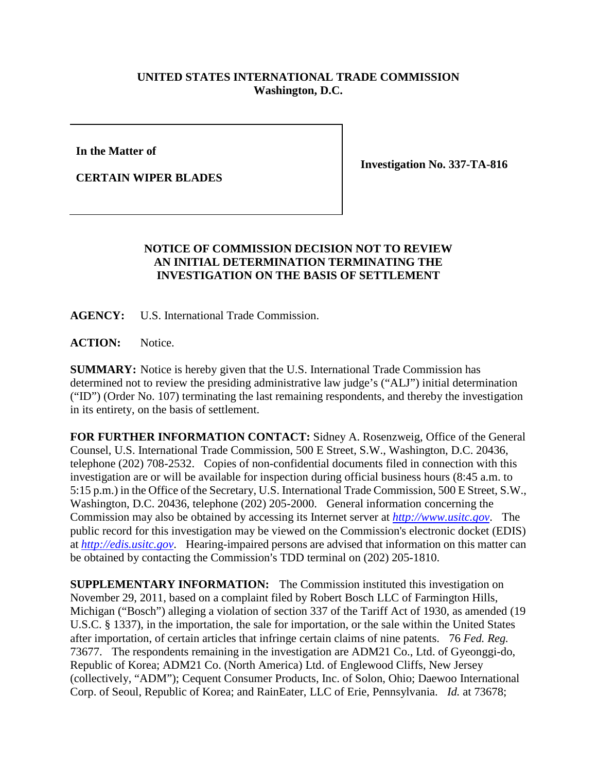## **UNITED STATES INTERNATIONAL TRADE COMMISSION Washington, D.C.**

**In the Matter of**

**CERTAIN WIPER BLADES**

**Investigation No. 337-TA-816**

## **NOTICE OF COMMISSION DECISION NOT TO REVIEW AN INITIAL DETERMINATION TERMINATING THE INVESTIGATION ON THE BASIS OF SETTLEMENT**

**AGENCY:** U.S. International Trade Commission.

ACTION: Notice.

**SUMMARY:** Notice is hereby given that the U.S. International Trade Commission has determined not to review the presiding administrative law judge's ("ALJ") initial determination ("ID") (Order No. 107) terminating the last remaining respondents, and thereby the investigation in its entirety, on the basis of settlement.

**FOR FURTHER INFORMATION CONTACT:** Sidney A. Rosenzweig, Office of the General Counsel, U.S. International Trade Commission, 500 E Street, S.W., Washington, D.C. 20436, telephone (202) 708-2532. Copies of non-confidential documents filed in connection with this investigation are or will be available for inspection during official business hours (8:45 a.m. to 5:15 p.m.) in the Office of the Secretary, U.S. International Trade Commission, 500 E Street, S.W., Washington, D.C. 20436, telephone (202) 205-2000. General information concerning the Commission may also be obtained by accessing its Internet server at *[http://www.usitc.gov](http://www.usitc.gov/)*. The public record for this investigation may be viewed on the Commission's electronic docket (EDIS) at *[http://edis.usitc.gov](http://edis.usitc.gov/)*. Hearing-impaired persons are advised that information on this matter can be obtained by contacting the Commission's TDD terminal on (202) 205-1810.

**SUPPLEMENTARY INFORMATION:** The Commission instituted this investigation on November 29, 2011, based on a complaint filed by Robert Bosch LLC of Farmington Hills, Michigan ("Bosch") alleging a violation of section 337 of the Tariff Act of 1930, as amended (19 U.S.C. § 1337), in the importation, the sale for importation, or the sale within the United States after importation, of certain articles that infringe certain claims of nine patents. 76 *Fed. Reg.* 73677. The respondents remaining in the investigation are ADM21 Co., Ltd. of Gyeonggi-do, Republic of Korea; ADM21 Co. (North America) Ltd. of Englewood Cliffs, New Jersey (collectively, "ADM"); Cequent Consumer Products, Inc. of Solon, Ohio; Daewoo International Corp. of Seoul, Republic of Korea; and RainEater, LLC of Erie, Pennsylvania. *Id.* at 73678;